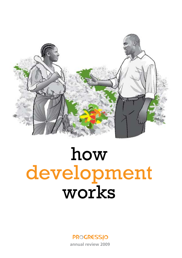

# how development works

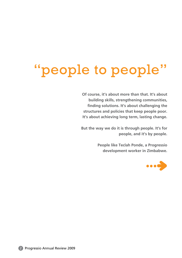# "people to people"

**Of course, it's about more than that. It's about building skills, strengthening communities, finding solutions. It's about challenging the structures and policies that keep people poor. It's about achieving long term, lasting change.**

**But the way we do it is through people. It's for people, and it's by people.**

> **People like Teclah Ponde, a Progressio development worker in Zimbabwe.**



2 Progressio Annual Review 2009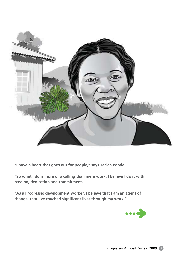

**"I have a heart that goes out for people," says Teclah Ponde.** 

**"So what I do is more of a calling than mere work. I believe I do it with passion, dedication and commitment.**

**"As a Progressio development worker, I believe that I am an agent of change; that I've touched significant lives through my work."**

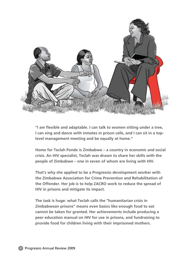

**"I am flexible and adaptable. I can talk to women sitting under a tree, I can sing and dance with inmates in prison cells, and I can sit in a toplevel management meeting and be equally at home."**

**Home for Teclah Ponde is Zimbabwe – a country in economic and social crisis. An HIV specialist, Teclah was drawn to share her skills with the people of Zimbabwe – one in seven of whom are living with HIV.**

**That's why she applied to be a Progressio development worker with the Zimbabwe Association for Crime Prevention and Rehabilitation of the Offender. Her job is to help ZACRO work to reduce the spread of HIV in prisons and mitigate its impact.**

**The task is huge: what Teclah calls the "humanitarian crisis in Zimbabwean prisons" means even basics like enough food to eat cannot be taken for granted. Her achievements include producing a peer education manual on HIV for use in prisons, and fundraising to provide food for children living with their imprisoned mothers.**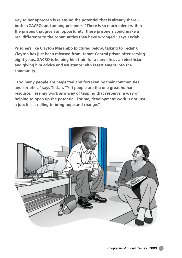**Key to her approach is releasing the potential that is already there – both in ZACRO, and among prisoners. "There is so much talent within the prisons that given an opportunity, these prisoners could make a real difference to the communities they have wronged," says Teclah.**

**Prisoners like Clayton Marambo (pictured below, talking to Teclah). Clayton has just been released from Harare Central prison after serving eight years. ZACRO is helping him train for a new life as an electrician and giving him advice and assistance with resettlement into the community.**

**"Too many people are neglected and forsaken by their communities and societies," says Teclah. "Yet people are the one great human resource. I see my work as a way of tapping that resource; a way of helping to open up the potential. For me, development work is not just a job; it is a calling to bring hope and change."**

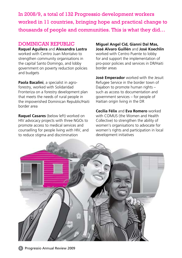In 2008/9, a total of 132 Progressio development workers worked in 11 countries, bringing hope and practical change to thousands of people and communities. This is what they did…

# DOMINICAN REPUBLIC

**Raquel Aguilera** and **Alexandra Lastra** worked with Centro Juan Montalvo to strengthen community organisations in the capital Santo Domingo, and lobby government on poverty reduction policies and budgets

**Paola Bacalini**, a specialist in agroforestry, worked with Solidaridad Fronteriza on a forestry development plan that meets the needs of rural people in the impoverished Dominican Republic/Haiti border area

**Raquel Casares** (below left) worked on HIV advocacy projects with three NGOs to promote access to medical services and counselling for people living with HIV, and to reduce stigma and discrimination

**Miguel Angel Cid, Gianni Dal Mas, José Alvaro Guillén** and **José Koechlin**  worked with Centro Puente to lobby for and support the implementation of pro-poor policies and services in DR/Haiti border areas

**José Emperador** worked with the Jesuit Refugee Service in the border town of Dajabon to promote human rights – such as access to documentation and government services – for people of Haitian origin living in the DR

**Cecilia Félix** and **Eva Romero** worked with COMUS (the Women and Health Collective) to strengthen the ability of women's organisations to advocate for women's rights and participation in local development initiatives

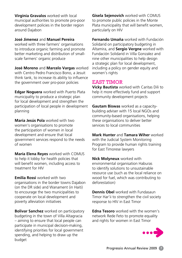**Virginia Gravalos** worked with local municipal authorities to promote pro-poor development policies in the border region around Dajabon

#### **José Jimenez** and **Manuel Pereira**

worked with three farmers' organisations to introduce organic farming and promote better marketing and distribution of smallscale farmers' organic produce

**José Moreno** and **Marcelo Vargas** worked with Centro Pedro Francisco Bono, a Jesuit think tank, to increase its ability to influence the government over pro-poor policies

**Edgar Noguera** worked with Puerto Plata municipality to produce a strategic plan for local development and strengthen the participation of local people in development planning

**María Jesús Pola** worked with two women's organisations to promote the participation of women in local development and ensure that local government services respond to the needs of women

**María Elena Reyes** worked with COMUS to help it lobby for health policies that will benefit women, including access to treatment for HIV

**Emilia Rossi** worked with two organisations in the border towns Dajabon (on the DR side) and Wanament (in Haiti) to encourage the two municipalities to cooperate on local development and poverty alleviation initiatives

**Bolivar Sanchez** worked on participatory budgeting in the town of Villa Altagracia – aiming to ensure that local people can participate in municipal decision-making, identifying priorities for local government spending, and helping to draw up the budget

**Gisela Sejenovich** worked with COMUS to promote public policies in the Monte Plata municipality that will benefit women, particularly on HIV

**Fernando Umaña** worked with Fundación Solidarid on participatory budgeting in Altamira, and **Sergio Vergne** worked with Fundación Solidarid in Villa Gonzalez and nine other municipalities to help design a strategic plan for local development, including a policy on gender equity and women's rights

# EAST TIMOR

**Vicky Bautista** worked with Caritas Dili to help it more effectively fund and support community development projects

**Gautam Biswas** worked as a capacitybuilding adviser with 15 local NGOs and community-based organisations, helping these organisations to deliver better services to local communities

**Mark Hunter** and **Tamara Wiher** worked with the Judicial System Monitoring Program to provide human rights training for East Timorese lawyers

**Nick Molyneux** worked with environmental organisation Haburas to identify solutions to unsustainable resource use (such as the local reliance on wood for fuel, which was contributing to deforestation)

**Dennis Obel** worked with Fundasaun Timor Har'ii to strengthen the civil society response to HIV in East Timor

**Edna Tesoro** worked with the women's network Rede Feto to promote equality and rights for women in East Timor

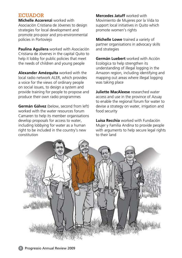# **ECUADOR**

**Michelle Accerenzi** worked with Asociación Cristiana de Jóvenes to design strategies for local development and promote pro-poor and pro-environmental policies in Portoviejo

**Paulina Aguilera** worked with Asociación Cristiana de Jóvenes in the capital Quito to help it lobby for public policies that meet the needs of children and young people

**Alexander Amézquita** worked with the local radio network ALER, which provides a voice for the views of ordinary people on social issues, to design a system and provide training for people to propose and produce their own radio programmes

**Germán Gálvez** (below, second from left) worked with the water resources forum Camaren to help its member organisations develop proposals for access to water, including lobbying for water as a human right to be included in the country's new constitution

**Mercedes Jatuff** worked with Movimiento de Mujeres por la Vida to support local initiatives in Quito which promote women's rights

**Michelle Lowe** trained a variety of partner organisations in advocacy skills and strategies

**Germán Luebert** worked with Acción Ecológica to help strengthen its understanding of illegal logging in the Amazon region, including identifying and mapping out areas where illegal logging was taking place

**Juliette MacAleese** researched water access and use in the province of Azuay to enable the regional forum for water to devise a strategy on water, irrigation and food security

**Luisa Recchia** worked with Fundación Mujer y Familia Andina to provide people with arguments to help secure legal rights to their land

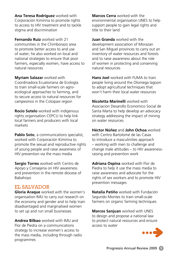**Ana Teresa Rodríguez** worked with Corporación Kimirina to promote rights to access to HIV treatment and to tackle stigma and discrimination

**Fernando Ruiz** worked with 21 communities in the Chimborazo area to promote better access to and use of water; he also worked on local and national strategies to ensure that poor farmers, especially women, have access to natural resources

**Myriam Salazar** worked with Coordinadora Ecuatoriana de Ecología to train small-scale farmers on agroecological approaches to farming, and to secure access to natural resources for *campesinos* in the Cotopaxi region

**Rocio Sotelo** worked with indigenous rights organisation CEPCU to help link local farmers and producers with local markets

**Pablo Soto**, a communications specialist, worked with Corporación Kimirina to promote the sexual and reproductive rights of young people and raise awareness of HIV prevention via the mass media

**Sergio Torres** worked with Centro de Apoyo y Consejeria on HIV awareness and prevention in the remote diocese of Babahoyo

# EL SALVADOR

**Gloria Araque** worked with the women's organisation IMU to carry out research on the economy and gender and to help train disadvantaged and marginalised women to set up and run small businesses

**Andrea Bilbao** worked with IMU and Flor de Piedra on a communications strategy to increase women's access to the mass media, including through radio programmes

**Marcos Cerra** worked with the environmental organisation UNES to help support people to gain legal rights and title to their land

**Juan Granda** worked with the development association of Morazan and San Miguel provinces to carry out an inventory of water resources and forests and to raise awareness about the role of women in protecting and conserving natural resources

**Hans Joel** worked with FUMA to train people living around the Olomega lagoon to adopt agricultural techniques that won't harm their local water resources

**Nicoletta Marinelli** worked with Asociacion Desarollo Economico Social de Santa Marta to help develop an advocacy strategy addressing the impact of mining on water resources

**Héctor Núñez** and **John Ochoa** worked with Centro Bartolomé de las Casas to introduce a masculinities approach – working with men to challenge and change male attitudes – to HIV awarenessraising and prevention work

**Adriana Ospina** worked with Flor de Piedra to help it use the mass media to raise awareness and advocate for the rights of sex workers and to promote HIV prevention messages

**Natalia Patiño** worked with Fundación Segundo Montes to train small-scale farmers on organic farming techniques

**Marcos Sanjuan** worked with UNES to design and propose a national law to protect natural resources and ensure access to water

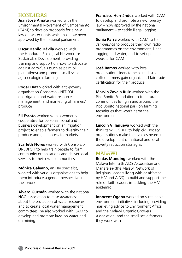## **HONDURAS**

**Juan José Amate** worked with the Environmental Movement of Campamento (CAM) to develop proposals for a new law on water rights which has now been approved by the national parliament

**Oscar Danilo Dávila** worked with the Honduran Ecological Network for Sustainable Development, providing training and support on how to advocate against agro-fuels (such as palm oil plantations) and promote small-scale agro-ecological farming

**Roger Díaz** worked with anti-poverty organisation Consorcio UNEDFOH on irrigation and water resource management, and marketing of farmers' produce

**Eli Escoto** worked with a women's cooperative for personal, social and business development on an irrigation project to enable farmers to diversify their produce and gain access to markets

**Scarleth Flores** worked with Consorcio UNEDFOH to help train people to form community organisations and deliver local services to their own communities

**Mónica Galeano**, an HIV specialist, worked with various organisations to help them introduce a gender perspective in their work

**Álvaro Guzmán** worked with the national NGO association to raise awareness about the protection of water resources and to create local water management committees; he also worked with CAM to develop and promote laws on water and on mining

**Francisco Hernández** worked with CAM to develop and promote a new forestry law – now approved by the national parliament – to tackle illegal logging

**Sonia Parra** worked with CAM to train *campesinos* to produce their own radio programmes on the environment, illegal logging and water, and to set up a website for CAM

**José Ramos** worked with local organisation Liders to help small-scale coffee farmers gain organic and fair trade certification for their produce

**Marvin Zavala Ruiz** worked with the Pico Bonito Foundation to train rural communities living in and around the Pico Bonito national park on farming techniques that won't harm the environment

**Lincoln Villanueva** worked with the think tank FOSDEH to help civil society organisations make their voices heard in the development of national and local poverty reduction strategies

#### MALAWI

**Renias Mundingi** worked with the Malawi Interfaith AIDS Association and Manerela+ (the Malawi Network of Religious Leaders living with or affected by HIV and AIDS) to build and support the role of faith leaders in tackling the HIV epidemic

**Innocent Ogaba** worked on sustainable environment initiatives including providing marketing advice to Environment Africa and the Malawi Organic Growers Association, and the small-scale farmers they work with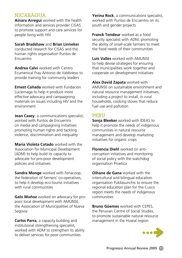# **NICARAGUA**

**Ainara Arregui** worked with the health information and services provider CISAS to promote support and care services for people living with HIV

**Sarah Bradshaw** and **Brian Linneker**

conducted research for CISAS and the human rights organisation Puntos de **Encuentro** 

**Andrea Calvi** worked with Centro Ecumenical Fray Antonio de Valdivieso to provide training for community leaders

**Ernest Cañada** worked with Fundación Luciernaga to help it produce more effective advocacy and campaigning materials on issues including HIV and the environment

**Jean Casey**, a communications specialist, worked with Puntos de Encuentro on media and campaigning initiatives promoting human rights and tackling violence, discrimination and inequality

**Maria Violeta Cotado** worked with the Association for Municipal Development (ADM) to help build its capacity to advocate for pro-poor development policies and initiatives

**Sandra Monge** worked with Fenacoop, the federation of farmers' co-operatives, to help it develop eco-tourist initiatives with rural communities

**Galo Muñoz** worked on advocacy for propoor local development with AMUNSE, the Association of Municipalities of Nueva Segovia

**Carlos Parra**, a capacity building and institutional strengthening specialist, worked with ADM to strengthen its ability to deliver services for poor communities

**Yerina Rock**, a communications specialist, worked with Puntos de Encuentro on its youth and gender projects

**Franck Tondeur** worked as a food security specialist with ADM, promoting the ability of small-scale farmers to meet the food needs of their communities

**Luis Valles** worked with AMUNSE to help devise strategies for ensuring that municipalities work together and cooperate on development initiatives

**Alex David Zapata** worked with AMUNSE on sustainable environment and natural resource management initiatives, including a project to install, in rural households, cooking stoves that reduce fuel use and pollution

#### **PERU**

**Sonia Bleeker** worked with IDEAS to help it promote the needs of indigenous communities in natural resource management and develop marketing initiatives for organic crops

**Florencia Diehl** worked on anticorruption initiatives and monitoring of social policy with the watchdog organisation Proetica

**Oihane de Gana** worked with the intercultural and bilingual education organisation Pukllasunchis to ensure the regional education plan for the Cusco region meets the needs of indigenous communities

**Bruno Güemes** worked with CEPES, the Peruvian Centre of Social Studies, to promote sustainable natural resource management in the Huaral region

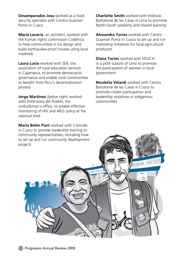**Desamparados Josa** worked as a food security specialist with Centro Guaman Poma in Cusco

**María Lacarra**, an architect, worked with the human rights commission Codehica to help communities in Ica design and build earthquake-proof houses using local materials

**Laura Lucio** worked with SER, the association of rural education services in Cajamarca, to promote democractic governance and enable rural communities to benefit from Peru's decentralisation process

**Jorge Martinez** (below right) worked with Defensoria del Pueblo, the ombudsman's office, to enable effective monitoring of HIV and AIDS policy at the national level

**María Belén Pont** worked with Coincide in Cusco to provide leadership training to community representatives, including how to set up and run community development projects

**Charlotte Smith** worked with Instituto Bartolomé de las Casas in Lima to promote North-South solidarity and shared learning

**Alexandra Torres** worked with Centro Guaman Poma in Cusco to set up and run marketing initiatives for local agricultural producers

**Diana Torres** worked with EDUCA in a poor suburb of Lima to promote the participation of women in local government

**Nicoletta Velardi** worked with Centro Bartolomé de las Casas in Cusco to promote citizen participation and leadership initiatives in indigenous communities

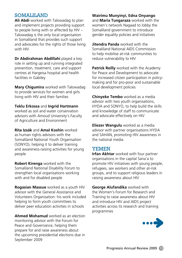## SOMALILAND

**Ali Abdi** worked with Talowadag to plan and implement projects providing support to people living with or affected by HIV – Talowadag is the only local organisation in Somaliland that provides such support and advocates for the rights of those living with HIV

**Dr Abdirahman Abdillahi** played a key role in setting up and running integrated prevention, treatment, care and support centres at Hargeisa hospital and health facilities in Gabiley

**Mary Chigumira** worked with Talowadag to provide services for women and girls living with HIV and their families

**Teklu Erkossa** and **Ingrid Hartmann** worked as soil and water conservation advisors with Amoud University's Faculty of Agriculture and Environment

**Rita Izsák** and **Amal Koshin** worked as human rights advisors with the Somaliland National Youth Organisation (SONYO), helping it to deliver training and awareness-raising activities for young people

**Robert Kirenga** worked with the Somaliland National Disability Forum to strengthen local organisations working with and for disabled people

**Rogasian Massue** worked as a youth HIV advisor with the General Assistance and Volunteers Organisation: his work included helping to form youth committees to deliver peer education activities in schools

**Ahmed Mohamud** worked as an election monitoring advisor with the Forum for Peace and Governance, helping them prepare for and raise awareness about the upcoming presidential elections due in September 2009

**Wairimu Munyinyi, Edna Onyango** and **Maria Tungaraza** worked with the women's network Nagaad to lobby the Somaliland government to introduce gender equality policies and initiatives

**Jitendra Panda** worked with the Somaliland National AIDS Commission to help mobilise at-risk communities to reduce vulnerability to HIV

**Patrick Reilly** worked with the Academy for Peace and Development to advocate for increased citizen participation in policymaking and for pro-poor and sustainable local development policies

**Chinyeke Tembo** worked as a media advisor with two youth organisations, HYDA and SONYO, to help build the skills and knowledge of staff to communicate and advocate effectively on HIV

**Eliezer Wangulu** worked as a media advisor with partner organisations HYDA and SAHAN, promoting HIV awareness in the national media

# YEMEN

**Irfan Akhtar** worked with four partner organisations in the capital Sana'a to promote HIV initiatives with young people, refugees, sex workers and other at-risk groups, and to support religious leaders in raising awareness about HIV

**George Alufandika** worked with the Women's Forum for Research and Training to raise awareness about HIV and introduce HIV and AIDS project activities across its research and training programmes

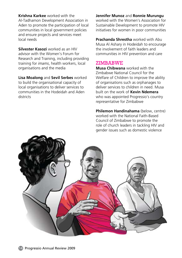**Krishna Karkee** worked with the Al-Tadhamon Development Association in Aden to promote the participation of local communities in local government policies and ensure projects and services meet local needs

**Silvester Kasozi** worked as an HIV advisor with the Women's Forum for Research and Training, including providing training for *imams*, health workers, local organisations and the media

**Lisa Moalong** and **Sevil Serbes** worked to build the organisational capacity of local organisations to deliver services to communities in the Hodeidah and Aden districts

#### **Jennifer Munoz** and **Ronnie Murungu**

worked with the Women's Association for Sustainable Development to promote HIV initiatives for women in poor communities

**Prachanda Shrestha** worked with Abu Musa Al Ashary in Hodeidah to encourage the involvement of faith leaders and communities in HIV prevention and care

#### ZIMBABWE

**Musa Chibwana** worked with the Zimbabwe National Council for the Welfare of Children to improve the ability of organisations such as orphanages to deliver services to children in need. Musa built on the work of **Kevin Ndemera** who was appointed Progressio's country representative for Zimbabwe

**Philemon Handinahama** (below, centre) worked with the National Faith-Based Council of Zimbabwe to promote the role of church leaders in tackling HIV and gender issues such as domestic violence

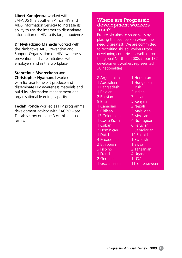**Libert Kanojerera** worked with SAFAIDS (the Southern Africa HIV and AIDS Information Service) to increase its ability to use the internet to disseminate information on HIV to its target audiences

**Dr Nyikadzino Mahachi** worked with the Zimbabwe AIDS Prevention and Support Organisation on HIV awareness, prevention and care initiatives with employers and in the workplace

**Stancelous Mverechena** and **Christopher Nyamandi** worked with Batsirai to help it produce and disseminate HIV awareness materials and

build its information management and organisational learning capacity

**Teclah Ponde** worked as HIV programme development advisor with ZACRO – see Teclah's story on page 3 of this annual review

#### Where are Progressio development workers from?

Progressio aims to share skills by placing the best person where the need is greatest. We are committed to recruiting skilled workers from developing countries as well as from the global North. In 2008/9, our 132 development workers represented 38 nationalities:

- 8 Argentinian
- 1 Australian
- 1 Bangladeshi
- 1 Belgian
- 2 Bolivian
- 5 British
- 1 Canadian
- 5 Chilean
- 13 Colombian
- 1 Costa Rican
- 1 Cuban
- 2 Dominican
- 1 Dutch
- 4 Ecuadorian
- 2 Ethiopian
- 3 Filipino
- 1 French
- 2 German
- 1 Guatemalan
- 1 Honduran 1 Hungarian
- 3 Irish
- 
- 2 Indian
- 7 Italian
- 5 Kenyan
- 2 Nepali
- 2 Malawian
- 2 Mexican
- 4 Nicaraguan
- 6 Peruvian
- 3 Salvadorian
- 19 Spanish
- 1 Swedish
- 1 Swiss
- 2 Tanzanian
- 4 Ugandan
- 1 USA
- 11 Zimbabwean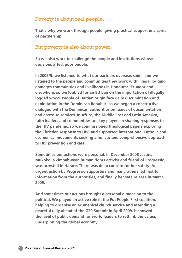# Poverty is about real people.

**That's why we work through people, giving practical support in a spirit of partnership.** 

# But poverty is also about power.

**So we also work to challenge the people and institutions whose decisions affect poor people.**

**In 2008/9, we listened to what our partners overseas said – and we listened to the people and communities they work with. Illegal logging damages communities and livelihoods in Honduras, Ecuador and elsewhere: so we lobbied for an EU ban on the importation of illegally logged wood. People of Haitian origin face daily discrimination and exploitation in the Dominican Republic: so we began a constructive dialogue with the Dominican authorities on issues of documentation and access to services. In Africa, the Middle East and Latin America, faith leaders and communities are key players in shaping responses to the HIV pandemic: so we commissioned theological papers exploring the Christian response to HIV, and supported international Catholic and ecumenical movements seeking a holistic and comprehensive approach to HIV prevention and care.**

**Sometimes our actions were personal. In December 2008 Jestina Mukoko, a Zimbabwean human rights activist and friend of Progressio, was arrested in Harare. There was deep concern for her safety. An urgent action by Progressio supporters and many others led first to information from the authorities, and finally her safe release in March 2009.**

**And sometimes our actions brought a personal dimension to the political. We played an active role in the Put People First coalition, helping to organise an ecumenical church service and attending a peaceful rally ahead of the G20 Summit in April 2009. It showed the level of public demand for world leaders to rethink the values underpinning the global economy.**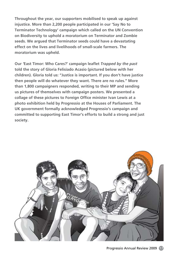**Throughout the year, our supporters mobilised to speak up against injustice. More than 2,200 people participated in our 'Say No to Terminator Technology' campaign which called on the UN Convention on Biodiversity to uphold a moratorium on Terminator and Zombie seeds. We argued that Terminator seeds could have a devastating effect on the lives and livelihoods of small-scale farmers. The moratorium was upheld.**

**Our** *'***East Timor: Who Cares?' campaign leaflet** *Trapped by the past*  **told the story of Gloria Felisiado Acasio (pictured below with her children). Gloria told us: "Justice is important. If you don't have justice then people will do whatever they want. There are no rules." More than 1,800 campaigners responded, writing to their MP and sending us pictures of themselves with campaign posters. We presented a collage of these pictures to Foreign Office minister Ivan Lewis at a photo exhibition held by Progressio at the Houses of Parliament. The UK government formally acknowledged Progressio's campaign and committed to supporting East Timor's efforts to build a strong and just society.** 

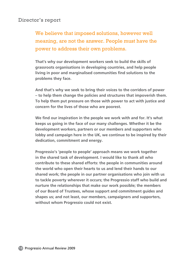# Director's report

We believe that imposed solutions, however well meaning, are not the answer. People must have the power to address their own problems.

**That's why our development workers seek to build the skills of grassroots organisations in developing countries, and help people living in poor and marginalised communities find solutions to the problems they face.** 

**And that's why we seek to bring their voices to the corridors of power – to help them change the policies and structures that impoverish them. To help them put pressure on those with power to act with justice and concern for the lives of those who are poorest.**

**We find our inspiration in the people we work with and for. It's what keeps us going in the face of our many challenges. Whether it be the development workers, partners or our members and supporters who lobby and campaign here in the UK, we continue to be inspired by their dedication, commitment and energy.**

**Progressio's 'people to people' approach means we work together in the shared task of development. I would like to thank all who contribute to these shared efforts: the people in communities around the world who open their hearts to us and lend their hands to our shared work; the people in our partner organisations who join with us to tackle poverty wherever it occurs; the Progressio staff who build and nurture the relationships that make our work possible; the members of our Board of Trustees, whose support and commitment guides and shapes us; and not least, our members, campaigners and supporters, without whom Progressio could not exist.**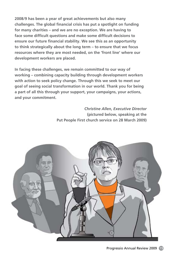**2008/9 has been a year of great achievements but also many challenges. The global financial crisis has put a spotlight on funding for many charities – and we are no exception. We are having to face some difficult questions and make some difficult decisions to ensure our future financial stability. We see this as an opportunity to think strategically about the long term – to ensure that we focus resources where they are most needed, on the 'front line' where our development workers are placed.** 

**In facing these challenges, we remain committed to our way of working – combining capacity building through development workers with action to seek policy change. Through this we seek to meet our goal of seeing social transformation in our world. Thank you for being a part of all this through your support, your campaigns, your actions, and your commitment.**

> *Christine Allen, Executive Director*  **(pictured below, speaking at the Put People First church service on 28 March 2009)**

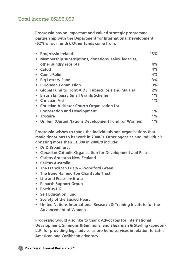# Total income £5296,099

**Progressio has an important and valued strategic programme partnership with the Department for International Development (62% of our funds). Other funds come from:**

| • Progressio Ireland                                    | 13%   |
|---------------------------------------------------------|-------|
| • Membership subscriptions, donations, sales, legacies, |       |
| other sundry receipts                                   | 4%    |
| • Cafod                                                 | 4%    |
| • Comic Relief                                          | 4%    |
| • Big Lottery Fund                                      | 3%    |
| • European Commission                                   | 3%    |
| • Global Fund to Fight AIDS, Tuberculosis and Malaria   | 2%    |
| • British Embassy Small Grants Scheme                   | $1\%$ |
| • Christian Aid                                         | $1\%$ |
| • Christian Aid/Inter-Church Organisation for           |       |
| <b>Cooperation and Development</b>                      | $1\%$ |
| • Trocaire                                              | $1\%$ |
| • Unifem (United Nations Development Fund for Women)    | $1\%$ |

**Progressio wishes to thank the individuals and organisations that made donations to its work in 2008/9. Other agencies and individuals donating more than £1,000 in 2008/9 include:**

- **• Dr D Broadhurst**
- **• Canadian Catholic Organisation for Development and Peace**
- **• Caritas Aotearoa New Zealand**
- **• Caritas Australia**
- **• The Franciscan Friary – Woodford Green**
- **• The Irene Hammerton Charitable Trust**
- **• Life and Peace Institute**
- **• Penarth Support Group**
- **• Porticus UK**
- **• Self Education Fund**
- **• Society of the Sacred Heart**
- **• United Nations International Research & Training Institute for the Advancement of Women**

**Progressio would also like to thank Advocates for International Development, Simmons & Simmons, and Shearman & Sterling (London) LLP, for providing legal advice as pro bono services in relation to Latin American and Caribbean advocacy.**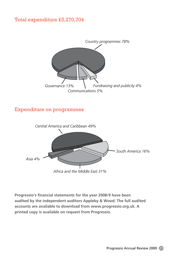# Total expenditure £5,270,704



# Expenditure on programmes



**Progressio's financial statements for the year 2008/9 have been audited by the independent auditors Appleby & Wood. The full audited accounts are available to download from www.progressio.org.uk. A printed copy is available on request from Progressio.**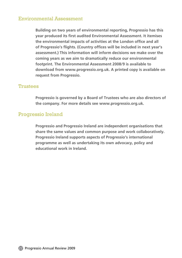# Environmental Assessment

**Building on two years of environmental reporting, Progressio has this year produced its first audited Environmental Assessment. It itemises the environmental impacts of activities at the London office and all of Progressio's flights. (Country offices will be included in next year's assessment.) This information will inform decisions we make over the coming years as we aim to dramatically reduce our environmental footprint. The Environmental Assessment 2008/9 is available to download from www.progressio.org.uk. A printed copy is available on request from Progressio.**

### Trustees

**Progressio is governed by a Board of Trustees who are also directors of the company. For more details see www.progressio.org.uk.** 

# Progressio Ireland

**Progressio and Progressio Ireland are independent organisations that share the same values and common purpose and work collaboratively. Progressio Ireland supports aspects of Progressio's international programme as well as undertaking its own advocacy, policy and educational work in Ireland.**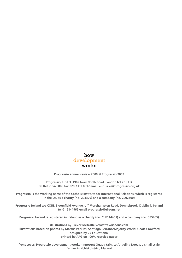#### how development works

**Progressio annual review 2009 © Progressio 2009**

**Progressio, Unit 3, 190a New North Road, London N1 7BJ, UK tel 020 7354 0883 fax 020 7359 0017 email enquiries@progressio.org.uk**

**Progressio is the working name of the Catholic Institute for International Relations, which is registered in the UK as a charity (no. 294329) and a company (no. 2002500)**

**Progressio Ireland c/o CORI, Bloomfield Avenue, off Morehampton Road, Donnybrook, Dublin 4, Ireland tel 01 6144966 email progressio@eircom.net**

**Progressio Ireland is registered in Ireland as a charity (no. CHY 14451) and a company (no. 385465)**

**illustrations by Trevor Metcalfe www.trevortoons.com illustrations based on photos by Marcus Perkins, Santiago Serrano/Majority World, Geoff Crawford designed by 25 Educational printed by APG on 100% recycled paper** 

**front cover: Progressio development worker Innocent Ogaba talks to Angelina Ngoza, a small-scale farmer in Nchisi district, Malawi**